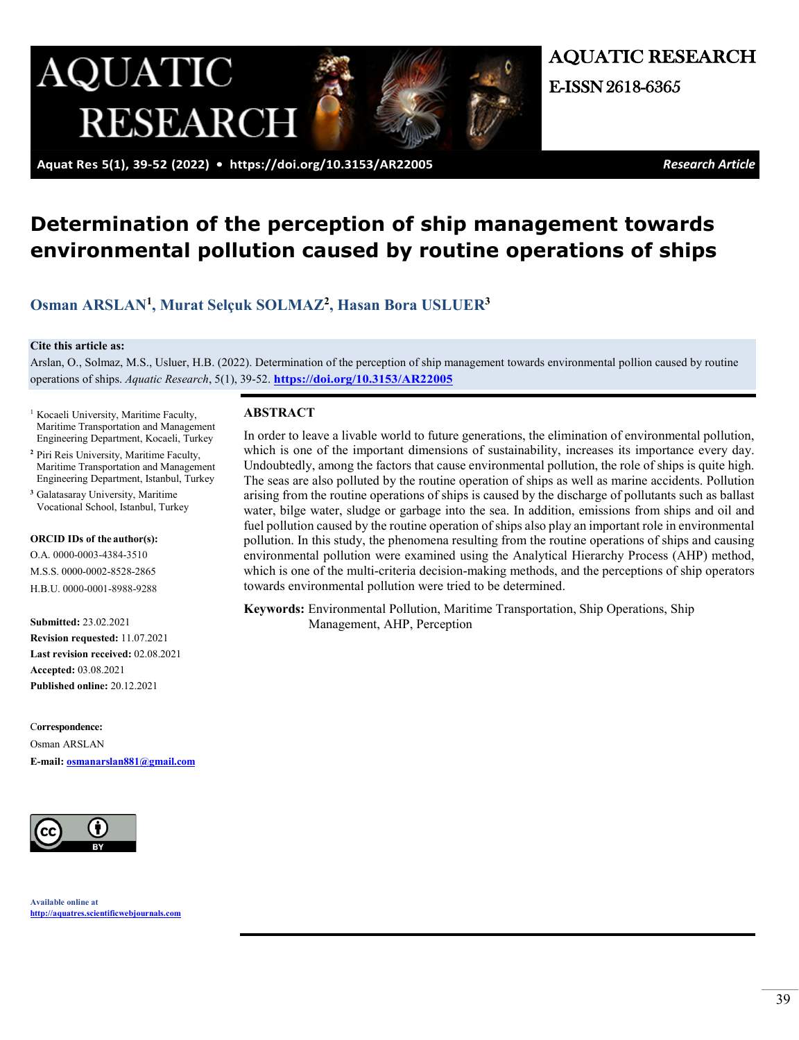

AQUATIC RESEARCH

 **Aquat Res 5(1), 39-52 (2022) • <https://doi.org/10.3153/AR22005>***Research Article*

# **Determination of the perception of ship management towards environmental pollution caused by routine operations of ships**

# **[Osman ARSLAN1](https://orcid.org/0000-0003-4384-3510), [Murat Selçuk SOLMAZ2](https://orcid.org/0000-0002-8528-2865), [Hasan Bora USLUER3](https://orcid.org/0000-0001-8988-9288)**

#### **Cite this article as:**

Arslan, O., Solmaz, M.S., Usluer, H.B. (2022). Determination of the perception of ship management towards environmental pollion caused by routine operations of ships. *Aquatic Research*, 5(1), 39-52. **<https://doi.org/10.3153/AR22005>**

- <sup>1</sup> Kocaeli University, Maritime Faculty, Maritime Transportation and Management Engineering Department, Kocaeli, Turkey
- <sup>2</sup> Piri Reis University, Maritime Faculty, Maritime Transportation and Management Engineering Department, Istanbul, Turkey
- **<sup>3</sup>**Galatasaray University, Maritime Vocational School, Istanbul, Turkey

#### **ORCID IDs of the author(s):**

O.A. 0000-0003-4384-3510 M.S.S. 0000-0002-8528-2865 H.B.U. 0000-0001-8988-9288

**Submitted:** 23.02.2021 **Revision requested:** 11.07.2021 **Last revision received:** 02.08.2021 **Accepted:** 03.08.2021 **Published online:** 20.12.2021

C**orrespondence:**  Osman ARSLAN **E-mail: [osmanarslan881@gmail.com](mailto:osmanarslan881@gmail.com)**



# **ABSTRACT**

In order to leave a livable world to future generations, the elimination of environmental pollution, which is one of the important dimensions of sustainability, increases its importance every day. Undoubtedly, among the factors that cause environmental pollution, the role of ships is quite high. The seas are also polluted by the routine operation of ships as well as marine accidents. Pollution arising from the routine operations of ships is caused by the discharge of pollutants such as ballast water, bilge water, sludge or garbage into the sea. In addition, emissions from ships and oil and fuel pollution caused by the routine operation of ships also play an important role in environmental pollution. In this study, the phenomena resulting from the routine operations of ships and causing environmental pollution were examined using the Analytical Hierarchy Process (AHP) method, which is one of the multi-criteria decision-making methods, and the perceptions of ship operators towards environmental pollution were tried to be determined.

**Keywords:** Environmental Pollution, Maritime Transportation, Ship Operations, Ship Management, AHP, Perception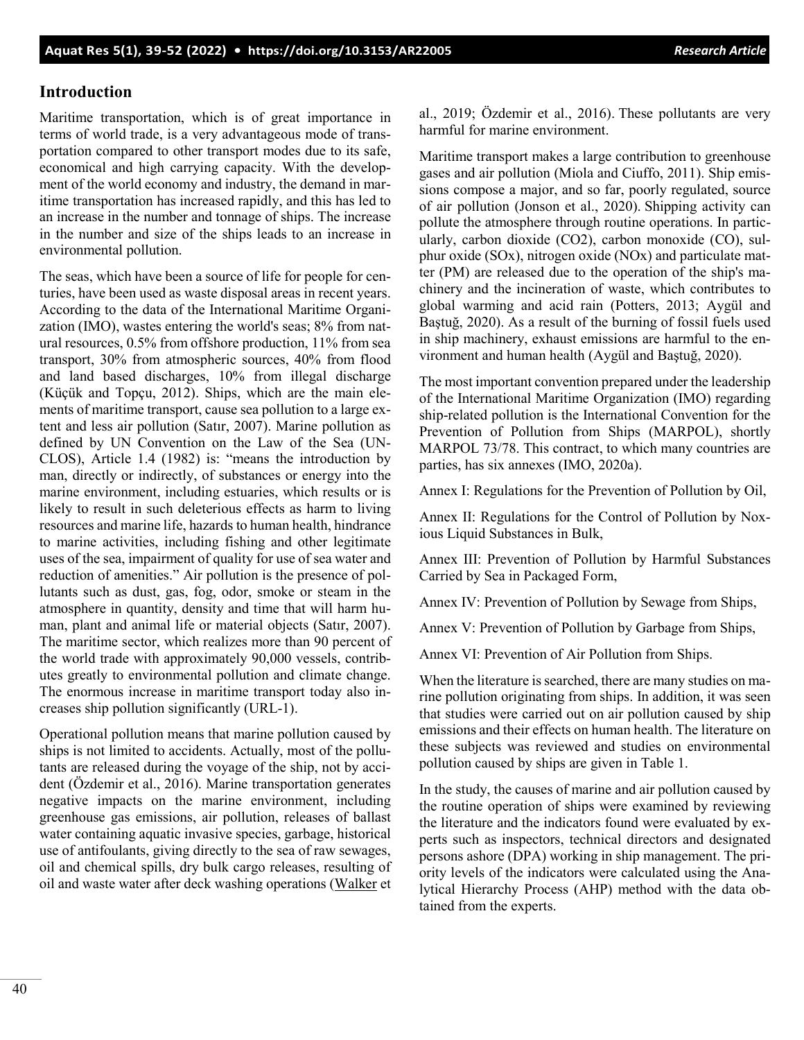# **Introduction**

Maritime transportation, which is of great importance in terms of world trade, is a very advantageous mode of transportation compared to other transport modes due to its safe, economical and high carrying capacity. With the development of the world economy and industry, the demand in maritime transportation has increased rapidly, and this has led to an increase in the number and tonnage of ships. The increase in the number and size of the ships leads to an increase in environmental pollution.

The seas, which have been a source of life for people for centuries, have been used as waste disposal areas in recent years. According to the data of the International Maritime Organization (IMO), wastes entering the world's seas; 8% from natural resources, 0.5% from offshore production, 11% from sea transport, 30% from atmospheric sources, 40% from flood and land based discharges, 10% from illegal discharge (Küçük and Topçu, 2012). Ships, which are the main elements of maritime transport, cause sea pollution to a large extent and less air pollution (Satır, 2007). Marine pollution as defined by UN Convention on the Law of the Sea (UN-CLOS), Article 1.4 (1982) is: "means the introduction by man, directly or indirectly, of substances or energy into the marine environment, including estuaries, which results or is likely to result in such deleterious effects as harm to living resources and marine life, hazards to human health, hindrance to marine activities, including fishing and other legitimate uses of the sea, impairment of quality for use of sea water and reduction of amenities." Air pollution is the presence of pollutants such as dust, gas, fog, odor, smoke or steam in the atmosphere in quantity, density and time that will harm human, plant and animal life or material objects (Satır, 2007). The maritime sector, which realizes more than 90 percent of the world trade with approximately 90,000 vessels, contributes greatly to environmental pollution and climate change. The enormous increase in maritime transport today also increases ship pollution significantly (URL-1).

Operational pollution means that marine pollution caused by ships is not limited to accidents. Actually, most of the pollutants are released during the voyage of the ship, not by accident (Özdemir et al., 2016). Marine transportation generates negative impacts on the marine environment, including greenhouse gas emissions, air pollution, releases of ballast water containing aquatic invasive species, garbage, historical use of antifoulants, giving directly to the sea of raw sewages, oil and chemical spills, dry bulk cargo releases, resulting of oil and waste water after deck washing operations [\(Walker](https://www.sciencedirect.com/science/article/pii/B9780128050521000309#!) et

al., 2019; Özdemir et al., 2016). These pollutants are very harmful for marine environment.

Maritime transport makes a large contribution to greenhouse gases and air pollution (Miola and Ciuffo, 2011). Ship emissions compose a major, and so far, poorly regulated, source of air pollution (Jonson et al., 2020). Shipping activity can pollute the atmosphere through routine operations. In particularly, carbon dioxide (CO2), carbon monoxide (CO), sulphur oxide (SOx), nitrogen oxide (NOx) and particulate matter (PM) are released due to the operation of the ship's machinery and the incineration of waste, which contributes to global warming and acid rain (Potters, 2013; Aygül and Baştuğ, 2020). As a result of the burning of fossil fuels used in ship machinery, exhaust emissions are harmful to the environment and human health (Aygül and Baştuğ, 2020).

The most important convention prepared under the leadership of the International Maritime Organization (IMO) regarding ship-related pollution is the International Convention for the Prevention of Pollution from Ships (MARPOL), shortly MARPOL 73/78. This contract, to which many countries are parties, has six annexes (IMO, 2020a).

Annex I: Regulations for the Prevention of Pollution by Oil,

Annex II: Regulations for the Control of Pollution by Noxious Liquid Substances in Bulk,

Annex III: Prevention of Pollution by Harmful Substances Carried by Sea in Packaged Form,

Annex IV: Prevention of Pollution by Sewage from Ships,

Annex V: Prevention of Pollution by Garbage from Ships,

Annex VI: Prevention of Air Pollution from Ships.

When the literature is searched, there are many studies on marine pollution originating from ships. In addition, it was seen that studies were carried out on air pollution caused by ship emissions and their effects on human health. The literature on these subjects was reviewed and studies on environmental pollution caused by ships are given in Table 1.

In the study, the causes of marine and air pollution caused by the routine operation of ships were examined by reviewing the literature and the indicators found were evaluated by experts such as inspectors, technical directors and designated persons ashore (DPA) working in ship management. The priority levels of the indicators were calculated using the Analytical Hierarchy Process (AHP) method with the data obtained from the experts.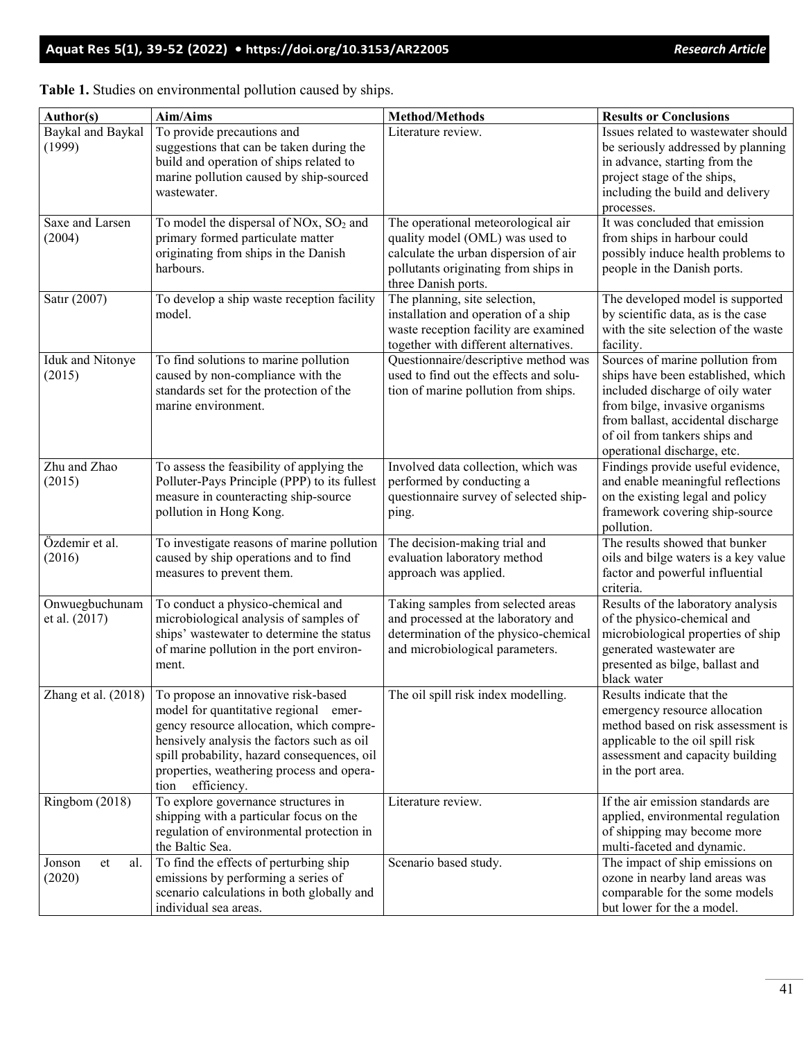| Author(s)                       | Aim/Aims                                                                                                                                                                                                                                                                                                        | <b>Method/Methods</b>                                                                                                                                                         | <b>Results or Conclusions</b>                                                                                                                                                                                                                      |
|---------------------------------|-----------------------------------------------------------------------------------------------------------------------------------------------------------------------------------------------------------------------------------------------------------------------------------------------------------------|-------------------------------------------------------------------------------------------------------------------------------------------------------------------------------|----------------------------------------------------------------------------------------------------------------------------------------------------------------------------------------------------------------------------------------------------|
| Baykal and Baykal<br>(1999)     | To provide precautions and<br>suggestions that can be taken during the<br>build and operation of ships related to<br>marine pollution caused by ship-sourced<br>wastewater.                                                                                                                                     | Literature review.                                                                                                                                                            | Issues related to wastewater should<br>be seriously addressed by planning<br>in advance, starting from the<br>project stage of the ships,<br>including the build and delivery<br>processes.                                                        |
| Saxe and Larsen<br>(2004)       | To model the dispersal of NOx, SO <sub>2</sub> and<br>primary formed particulate matter<br>originating from ships in the Danish<br>harbours.                                                                                                                                                                    | The operational meteorological air<br>quality model (OML) was used to<br>calculate the urban dispersion of air<br>pollutants originating from ships in<br>three Danish ports. | It was concluded that emission<br>from ships in harbour could<br>possibly induce health problems to<br>people in the Danish ports.                                                                                                                 |
| Satır (2007)                    | To develop a ship waste reception facility<br>model.                                                                                                                                                                                                                                                            | The planning, site selection,<br>installation and operation of a ship<br>waste reception facility are examined<br>together with different alternatives.                       | The developed model is supported<br>by scientific data, as is the case<br>with the site selection of the waste<br>facility.                                                                                                                        |
| Iduk and Nitonye<br>(2015)      | To find solutions to marine pollution<br>caused by non-compliance with the<br>standards set for the protection of the<br>marine environment.                                                                                                                                                                    | Questionnaire/descriptive method was<br>used to find out the effects and solu-<br>tion of marine pollution from ships.                                                        | Sources of marine pollution from<br>ships have been established, which<br>included discharge of oily water<br>from bilge, invasive organisms<br>from ballast, accidental discharge<br>of oil from tankers ships and<br>operational discharge, etc. |
| Zhu and Zhao<br>(2015)          | To assess the feasibility of applying the<br>Polluter-Pays Principle (PPP) to its fullest<br>measure in counteracting ship-source<br>pollution in Hong Kong.                                                                                                                                                    | Involved data collection, which was<br>performed by conducting a<br>questionnaire survey of selected ship-<br>ping.                                                           | Findings provide useful evidence,<br>and enable meaningful reflections<br>on the existing legal and policy<br>framework covering ship-source<br>pollution.                                                                                         |
| Özdemir et al.<br>(2016)        | To investigate reasons of marine pollution<br>caused by ship operations and to find<br>measures to prevent them.                                                                                                                                                                                                | The decision-making trial and<br>evaluation laboratory method<br>approach was applied.                                                                                        | The results showed that bunker<br>oils and bilge waters is a key value<br>factor and powerful influential<br>criteria.                                                                                                                             |
| Onwuegbuchunam<br>et al. (2017) | To conduct a physico-chemical and<br>microbiological analysis of samples of<br>ships' wastewater to determine the status<br>of marine pollution in the port environ-<br>ment.                                                                                                                                   | Taking samples from selected areas<br>and processed at the laboratory and<br>determination of the physico-chemical<br>and microbiological parameters.                         | Results of the laboratory analysis<br>of the physico-chemical and<br>microbiological properties of ship<br>generated wastewater are<br>presented as bilge, ballast and<br>black water                                                              |
|                                 | Zhang et al. (2018)   To propose an innovative risk-based<br>model for quantitative regional emer-<br>gency resource allocation, which compre-<br>hensively analysis the factors such as oil<br>spill probability, hazard consequences, oil<br>properties, weathering process and opera-<br>efficiency.<br>tion | The oil spill risk index modelling.                                                                                                                                           | Results indicate that the<br>emergency resource allocation<br>method based on risk assessment is<br>applicable to the oil spill risk<br>assessment and capacity building<br>in the port area.                                                      |
| Ringbom (2018)                  | To explore governance structures in<br>shipping with a particular focus on the<br>regulation of environmental protection in<br>the Baltic Sea.                                                                                                                                                                  | Literature review.                                                                                                                                                            | If the air emission standards are<br>applied, environmental regulation<br>of shipping may become more<br>multi-faceted and dynamic.                                                                                                                |
| al.<br>Jonson<br>et<br>(2020)   | To find the effects of perturbing ship<br>emissions by performing a series of<br>scenario calculations in both globally and<br>individual sea areas.                                                                                                                                                            | Scenario based study.                                                                                                                                                         | The impact of ship emissions on<br>ozone in nearby land areas was<br>comparable for the some models<br>but lower for the a model.                                                                                                                  |

| Table 1. Studies on environmental pollution caused by ships. |  |  |  |
|--------------------------------------------------------------|--|--|--|
|                                                              |  |  |  |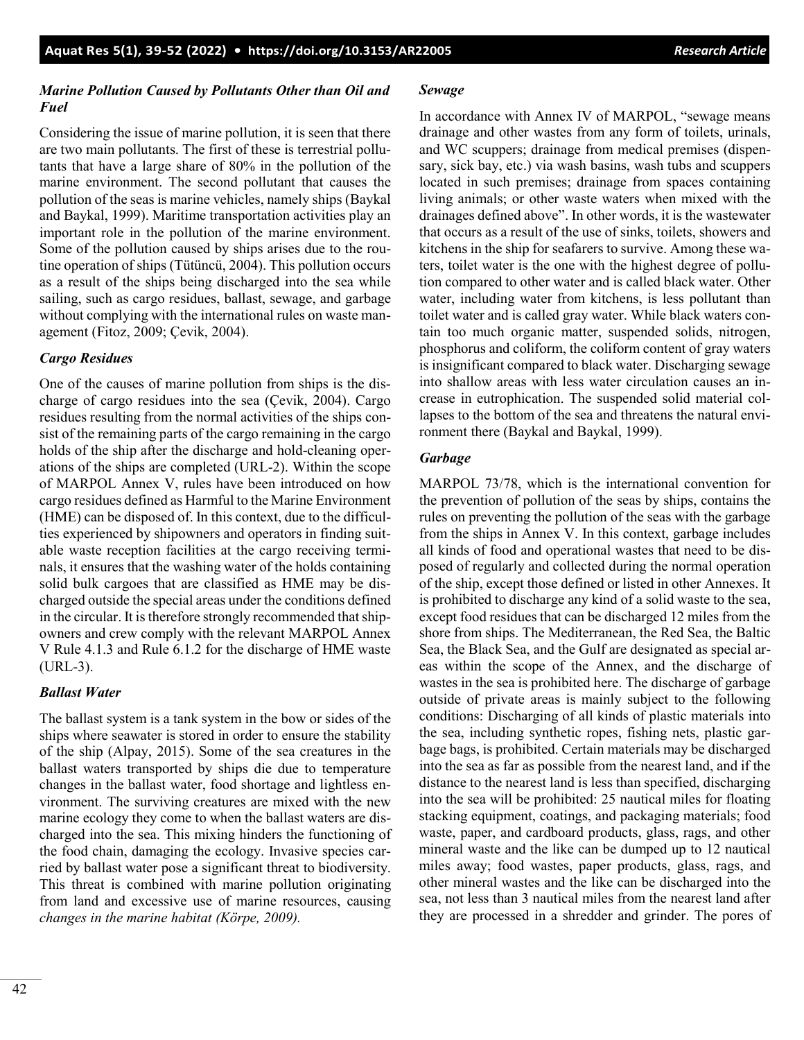# *Marine Pollution Caused by Pollutants Other than Oil and Fuel*

Considering the issue of marine pollution, it is seen that there are two main pollutants. The first of these is terrestrial pollutants that have a large share of 80% in the pollution of the marine environment. The second pollutant that causes the pollution of the seas is marine vehicles, namely ships (Baykal and Baykal, 1999). Maritime transportation activities play an important role in the pollution of the marine environment. Some of the pollution caused by ships arises due to the routine operation of ships (Tütüncü, 2004). This pollution occurs as a result of the ships being discharged into the sea while sailing, such as cargo residues, ballast, sewage, and garbage without complying with the international rules on waste management (Fitoz, 2009; Çevik, 2004).

# *Cargo Residues*

One of the causes of marine pollution from ships is the discharge of cargo residues into the sea (Çevik, 2004). Cargo residues resulting from the normal activities of the ships consist of the remaining parts of the cargo remaining in the cargo holds of the ship after the discharge and hold-cleaning operations of the ships are completed (URL-2). Within the scope of MARPOL Annex V, rules have been introduced on how cargo residues defined as Harmful to the Marine Environment (HME) can be disposed of. In this context, due to the difficulties experienced by shipowners and operators in finding suitable waste reception facilities at the cargo receiving terminals, it ensures that the washing water of the holds containing solid bulk cargoes that are classified as HME may be discharged outside the special areas under the conditions defined in the circular. It is therefore strongly recommended that shipowners and crew comply with the relevant MARPOL Annex V Rule 4.1.3 and Rule 6.1.2 for the discharge of HME waste (URL-3).

# *Ballast Water*

The ballast system is a tank system in the bow or sides of the ships where seawater is stored in order to ensure the stability of the ship (Alpay, 2015). Some of the sea creatures in the ballast waters transported by ships die due to temperature changes in the ballast water, food shortage and lightless environment. The surviving creatures are mixed with the new marine ecology they come to when the ballast waters are discharged into the sea. This mixing hinders the functioning of the food chain, damaging the ecology. Invasive species carried by ballast water pose a significant threat to biodiversity. This threat is combined with marine pollution originating from land and excessive use of marine resources, causing *changes in the marine habitat (Körpe, 2009).*

### *Sewage*

In accordance with Annex IV of MARPOL, "sewage means drainage and other wastes from any form of toilets, urinals, and WC scuppers; drainage from medical premises (dispensary, sick bay, etc.) via wash basins, wash tubs and scuppers located in such premises; drainage from spaces containing living animals; or other waste waters when mixed with the drainages defined above". In other words, it is the wastewater that occurs as a result of the use of sinks, toilets, showers and kitchens in the ship for seafarers to survive. Among these waters, toilet water is the one with the highest degree of pollution compared to other water and is called black water. Other water, including water from kitchens, is less pollutant than toilet water and is called gray water. While black waters contain too much organic matter, suspended solids, nitrogen, phosphorus and coliform, the coliform content of gray waters is insignificant compared to black water. Discharging sewage into shallow areas with less water circulation causes an increase in eutrophication. The suspended solid material collapses to the bottom of the sea and threatens the natural environment there (Baykal and Baykal, 1999).

# *Garbage*

MARPOL 73/78, which is the international convention for the prevention of pollution of the seas by ships, contains the rules on preventing the pollution of the seas with the garbage from the ships in Annex V. In this context, garbage includes all kinds of food and operational wastes that need to be disposed of regularly and collected during the normal operation of the ship, except those defined or listed in other Annexes. It is prohibited to discharge any kind of a solid waste to the sea, except food residues that can be discharged 12 miles from the shore from ships. The Mediterranean, the Red Sea, the Baltic Sea, the Black Sea, and the Gulf are designated as special areas within the scope of the Annex, and the discharge of wastes in the sea is prohibited here. The discharge of garbage outside of private areas is mainly subject to the following conditions: Discharging of all kinds of plastic materials into the sea, including synthetic ropes, fishing nets, plastic garbage bags, is prohibited. Certain materials may be discharged into the sea as far as possible from the nearest land, and if the distance to the nearest land is less than specified, discharging into the sea will be prohibited: 25 nautical miles for floating stacking equipment, coatings, and packaging materials; food waste, paper, and cardboard products, glass, rags, and other mineral waste and the like can be dumped up to 12 nautical miles away; food wastes, paper products, glass, rags, and other mineral wastes and the like can be discharged into the sea, not less than 3 nautical miles from the nearest land after they are processed in a shredder and grinder. The pores of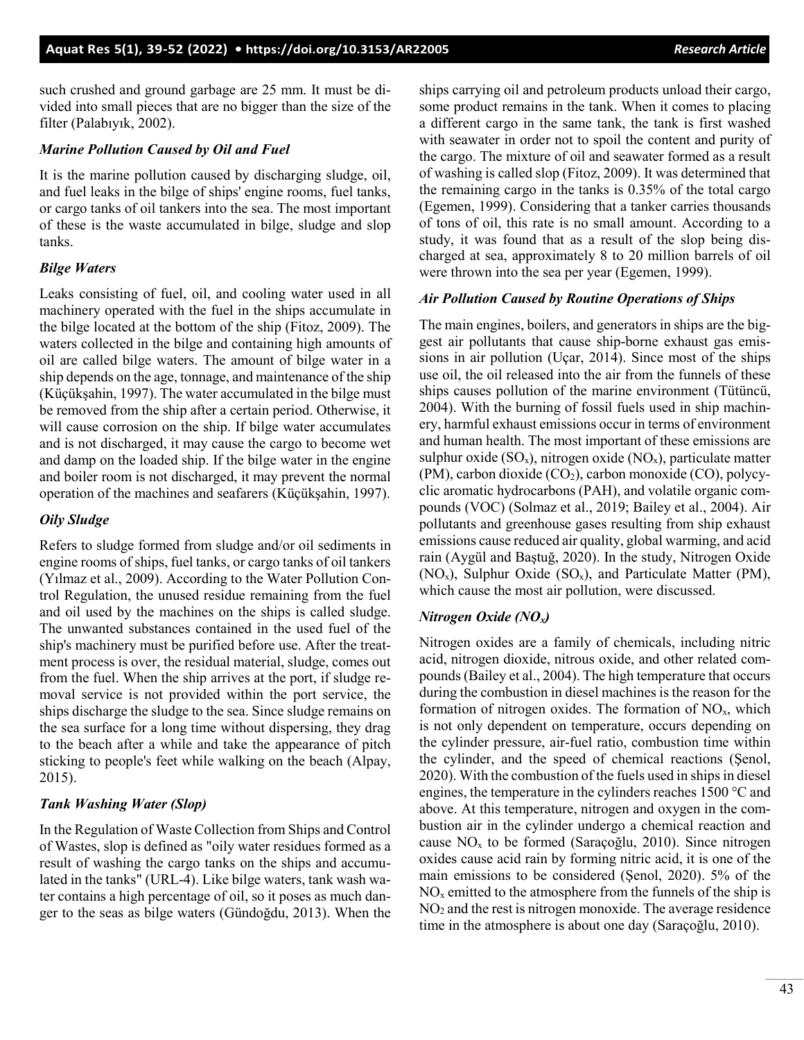such crushed and ground garbage are 25 mm. It must be divided into small pieces that are no bigger than the size of the filter (Palabıyık, 2002).

#### *Marine Pollution Caused by Oil and Fuel*

It is the marine pollution caused by discharging sludge, oil, and fuel leaks in the bilge of ships' engine rooms, fuel tanks, or cargo tanks of oil tankers into the sea. The most important of these is the waste accumulated in bilge, sludge and slop tanks.

#### *Bilge Waters*

Leaks consisting of fuel, oil, and cooling water used in all machinery operated with the fuel in the ships accumulate in the bilge located at the bottom of the ship (Fitoz, 2009). The waters collected in the bilge and containing high amounts of oil are called bilge waters. The amount of bilge water in a ship depends on the age, tonnage, and maintenance of the ship (Küçükşahin, 1997). The water accumulated in the bilge must be removed from the ship after a certain period. Otherwise, it will cause corrosion on the ship. If bilge water accumulates and is not discharged, it may cause the cargo to become wet and damp on the loaded ship. If the bilge water in the engine and boiler room is not discharged, it may prevent the normal operation of the machines and seafarers (Küçükşahin, 1997).

#### *Oily Sludge*

Refers to sludge formed from sludge and/or oil sediments in engine rooms of ships, fuel tanks, or cargo tanks of oil tankers (Yılmaz et al., 2009). According to the Water Pollution Control Regulation, the unused residue remaining from the fuel and oil used by the machines on the ships is called sludge. The unwanted substances contained in the used fuel of the ship's machinery must be purified before use. After the treatment process is over, the residual material, sludge, comes out from the fuel. When the ship arrives at the port, if sludge removal service is not provided within the port service, the ships discharge the sludge to the sea. Since sludge remains on the sea surface for a long time without dispersing, they drag to the beach after a while and take the appearance of pitch sticking to people's feet while walking on the beach (Alpay, 2015).

# *Tank Washing Water (Slop)*

In the Regulation of Waste Collection from Ships and Control of Wastes, slop is defined as "oily water residues formed as a result of washing the cargo tanks on the ships and accumulated in the tanks" (URL-4). Like bilge waters, tank wash water contains a high percentage of oil, so it poses as much danger to the seas as bilge waters (Gündoğdu, 2013). When the ships carrying oil and petroleum products unload their cargo, some product remains in the tank. When it comes to placing a different cargo in the same tank, the tank is first washed with seawater in order not to spoil the content and purity of the cargo. The mixture of oil and seawater formed as a result of washing is called slop (Fitoz, 2009). It was determined that the remaining cargo in the tanks is 0.35% of the total cargo (Egemen, 1999). Considering that a tanker carries thousands of tons of oil, this rate is no small amount. According to a study, it was found that as a result of the slop being discharged at sea, approximately 8 to 20 million barrels of oil were thrown into the sea per year (Egemen, 1999).

#### *Air Pollution Caused by Routine Operations of Ships*

The main engines, boilers, and generators in ships are the biggest air pollutants that cause ship-borne exhaust gas emissions in air pollution (Uçar, 2014). Since most of the ships use oil, the oil released into the air from the funnels of these ships causes pollution of the marine environment (Tütüncü, 2004). With the burning of fossil fuels used in ship machinery, harmful exhaust emissions occur in terms of environment and human health. The most important of these emissions are sulphur oxide  $(SO_x)$ , nitrogen oxide  $(NO_x)$ , particulate matter (PM), carbon dioxide  $(CO_2)$ , carbon monoxide  $(CO)$ , polycyclic aromatic hydrocarbons (PAH), and volatile organic compounds (VOC) (Solmaz et al., 2019; Bailey et al., 2004). Air pollutants and greenhouse gases resulting from ship exhaust emissions cause reduced air quality, global warming, and acid rain (Aygül and Baştuğ, 2020). In the study, Nitrogen Oxide (NO<sub>x</sub>), Sulphur Oxide (SO<sub>x</sub>), and Particulate Matter (PM), which cause the most air pollution, were discussed.

#### *Nitrogen Oxide (NOx)*

Nitrogen oxides are a family of chemicals, including nitric acid, nitrogen dioxide, nitrous oxide, and other related compounds (Bailey et al., 2004). The high temperature that occurs during the combustion in diesel machines is the reason for the formation of nitrogen oxides. The formation of  $NO<sub>x</sub>$ , which is not only dependent on temperature, occurs depending on the cylinder pressure, air-fuel ratio, combustion time within the cylinder, and the speed of chemical reactions (Şenol, 2020). With the combustion of the fuels used in ships in diesel engines, the temperature in the cylinders reaches 1500 °C and above. At this temperature, nitrogen and oxygen in the combustion air in the cylinder undergo a chemical reaction and cause  $NO<sub>x</sub>$  to be formed (Saraçoğlu, 2010). Since nitrogen oxides cause acid rain by forming nitric acid, it is one of the main emissions to be considered (Şenol, 2020). 5% of the  $NO<sub>x</sub>$  emitted to the atmosphere from the funnels of the ship is NO2 and the rest is nitrogen monoxide. The average residence time in the atmosphere is about one day (Saraçoğlu, 2010).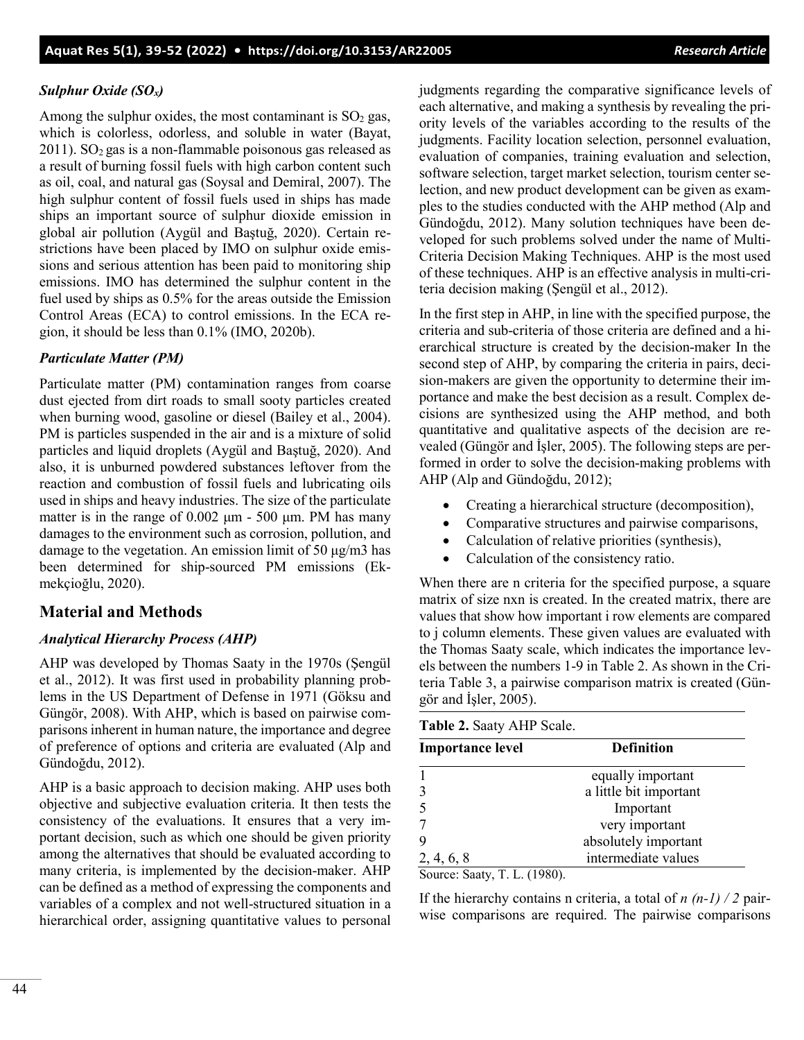# *Sulphur Oxide (SOx)*

Among the sulphur oxides, the most contaminant is  $SO<sub>2</sub>$  gas, which is colorless, odorless, and soluble in water (Bayat,  $2011$ ). SO<sub>2</sub> gas is a non-flammable poisonous gas released as a result of burning fossil fuels with high carbon content such as oil, coal, and natural gas (Soysal and Demiral, 2007). The high sulphur content of fossil fuels used in ships has made ships an important source of sulphur dioxide emission in global air pollution (Aygül and Baştuğ, 2020). Certain restrictions have been placed by IMO on sulphur oxide emissions and serious attention has been paid to monitoring ship emissions. IMO has determined the sulphur content in the fuel used by ships as 0.5% for the areas outside the Emission Control Areas (ECA) to control emissions. In the ECA region, it should be less than 0.1% (IMO, 2020b).

# *Particulate Matter (PM)*

Particulate matter (PM) contamination ranges from coarse dust ejected from dirt roads to small sooty particles created when burning wood, gasoline or diesel (Bailey et al., 2004). PM is particles suspended in the air and is a mixture of solid particles and liquid droplets (Aygül and Baştuğ, 2020). And also, it is unburned powdered substances leftover from the reaction and combustion of fossil fuels and lubricating oils used in ships and heavy industries. The size of the particulate matter is in the range of  $0.002 \mu m - 500 \mu m$ . PM has many damages to the environment such as corrosion, pollution, and damage to the vegetation. An emission limit of 50 μg/m3 has been determined for ship-sourced PM emissions (Ekmekçioğlu, 2020).

# **Material and Methods**

#### *Analytical Hierarchy Process (AHP)*

AHP was developed by Thomas Saaty in the 1970s (Şengül et al., 2012). It was first used in probability planning problems in the US Department of Defense in 1971 (Göksu and Güngör, 2008). With AHP, which is based on pairwise comparisons inherent in human nature, the importance and degree of preference of options and criteria are evaluated (Alp and Gündoğdu, 2012).

AHP is a basic approach to decision making. AHP uses both objective and subjective evaluation criteria. It then tests the consistency of the evaluations. It ensures that a very important decision, such as which one should be given priority among the alternatives that should be evaluated according to many criteria, is implemented by the decision-maker. AHP can be defined as a method of expressing the components and variables of a complex and not well-structured situation in a hierarchical order, assigning quantitative values to personal judgments regarding the comparative significance levels of each alternative, and making a synthesis by revealing the priority levels of the variables according to the results of the judgments. Facility location selection, personnel evaluation, evaluation of companies, training evaluation and selection, software selection, target market selection, tourism center selection, and new product development can be given as examples to the studies conducted with the AHP method (Alp and Gündoğdu, 2012). Many solution techniques have been developed for such problems solved under the name of Multi-Criteria Decision Making Techniques. AHP is the most used of these techniques. AHP is an effective analysis in multi-criteria decision making (Şengül et al., 2012).

In the first step in AHP, in line with the specified purpose, the criteria and sub-criteria of those criteria are defined and a hierarchical structure is created by the decision-maker In the second step of AHP, by comparing the criteria in pairs, decision-makers are given the opportunity to determine their importance and make the best decision as a result. Complex decisions are synthesized using the AHP method, and both quantitative and qualitative aspects of the decision are revealed (Güngör and İşler, 2005). The following steps are performed in order to solve the decision-making problems with AHP (Alp and Gündoğdu, 2012);

- Creating a hierarchical structure (decomposition),
- Comparative structures and pairwise comparisons,
- Calculation of relative priorities (synthesis),
- Calculation of the consistency ratio.

When there are n criteria for the specified purpose, a square matrix of size nxn is created. In the created matrix, there are values that show how important i row elements are compared to j column elements. These given values are evaluated with the Thomas Saaty scale, which indicates the importance levels between the numbers 1-9 in Table 2. As shown in the Criteria Table 3, a pairwise comparison matrix is created (Güngör and İşler, 2005).

| Table 2. Saaty AHP Scale. |  |  |  |
|---------------------------|--|--|--|
|---------------------------|--|--|--|

| <b>Importance level</b> | <b>Definition</b>      |
|-------------------------|------------------------|
|                         | equally important      |
|                         | a little bit important |
|                         | Important              |
|                         | very important         |
|                         | absolutely important   |
| 2, 4, 6, 8              | intermediate values    |

Source: Saaty, T. L. (1980).

If the hierarchy contains n criteria, a total of  $n(n-1)/2$  pairwise comparisons are required. The pairwise comparisons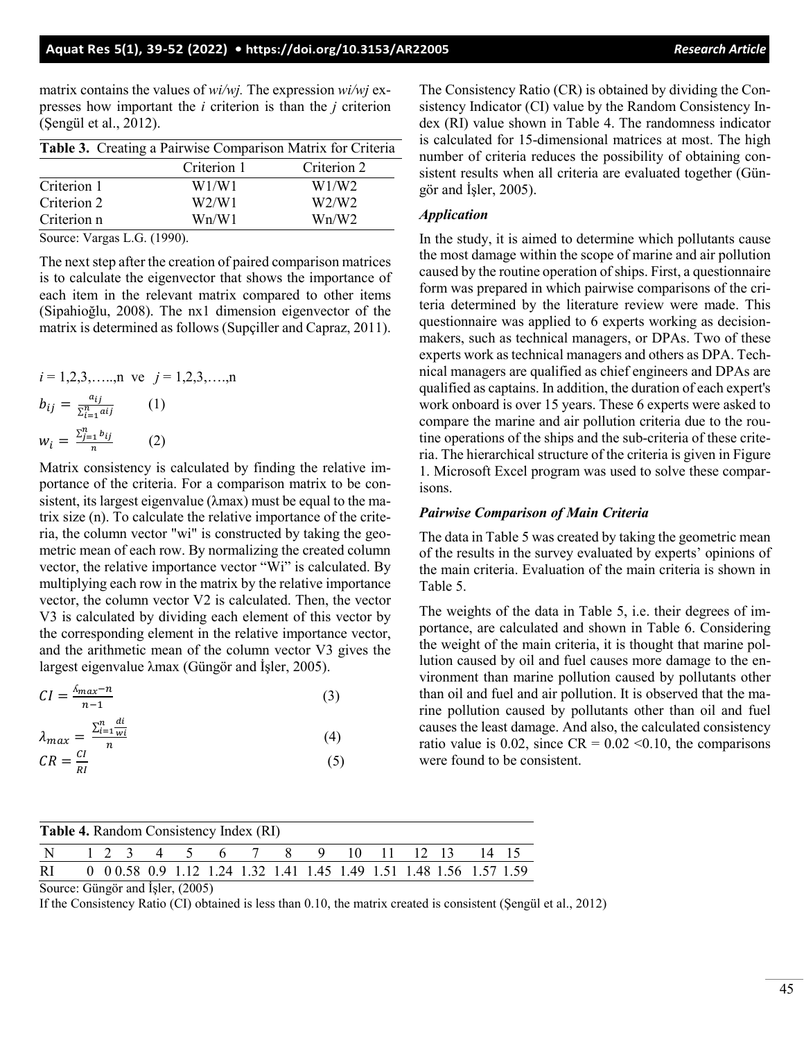matrix contains the values of *wi/wj.* The expression *wi/wj* expresses how important the *i* criterion is than the *j* criterion (Şengül et al., 2012).

|             | Table 3. Creating a Pairwise Comparison Matrix for Criteria |             |
|-------------|-------------------------------------------------------------|-------------|
|             | Criterion 1                                                 | Criterion 2 |
| Criterion 1 | W1/W1                                                       | W1/W2       |
| Criterion 2 | W2/W1                                                       | W2/W2       |
| Criterion n | Wn/W1                                                       | Wn/W2       |

Source: Vargas L.G. (1990).

The next step after the creation of paired comparison matrices is to calculate the eigenvector that shows the importance of each item in the relevant matrix compared to other items (Sipahioğlu, 2008). The nx1 dimension eigenvector of the matrix is determined as follows (Supçiller and Capraz, 2011).

$$
i = 1,2,3,......
$$
n ve  $j = 1,2,3,......$ n  
\n $b_{ij} = \frac{a_{ij}}{\sum_{i=1}^{n} a_{ij}} \qquad (1)$   
\n $w_i = \frac{\sum_{j=1}^{n} b_{ij}}{n} \qquad (2)$ 

Matrix consistency is calculated by finding the relative importance of the criteria. For a comparison matrix to be consistent, its largest eigenvalue (λmax) must be equal to the matrix size (n). To calculate the relative importance of the criteria, the column vector "wi" is constructed by taking the geometric mean of each row. By normalizing the created column vector, the relative importance vector "Wi" is calculated. By multiplying each row in the matrix by the relative importance vector, the column vector V2 is calculated. Then, the vector V3 is calculated by dividing each element of this vector by the corresponding element in the relative importance vector, and the arithmetic mean of the column vector V3 gives the largest eigenvalue λmax (Güngör and İşler, 2005).

| $CI = \frac{\Lambda_{max}-n}{\Lambda}$<br>(3)<br>$n-1$ |  |  |  |
|--------------------------------------------------------|--|--|--|
|--------------------------------------------------------|--|--|--|

$$
\lambda_{max} = \frac{\sum_{i=1}^{n} \frac{di}{wi}}{n} \tag{4}
$$

$$
CR = \frac{CI}{RI} \tag{5}
$$

The Consistency Ratio (CR) is obtained by dividing the Consistency Indicator (CI) value by the Random Consistency Index (RI) value shown in Table 4. The randomness indicator is calculated for 15-dimensional matrices at most. The high number of criteria reduces the possibility of obtaining consistent results when all criteria are evaluated together (Güngör and İşler, 2005).

## *Application*

In the study, it is aimed to determine which pollutants cause the most damage within the scope of marine and air pollution caused by the routine operation of ships. First, a questionnaire form was prepared in which pairwise comparisons of the criteria determined by the literature review were made. This questionnaire was applied to 6 experts working as decisionmakers, such as technical managers, or DPAs. Two of these experts work as technical managers and others as DPA. Technical managers are qualified as chief engineers and DPAs are qualified as captains. In addition, the duration of each expert's work onboard is over 15 years. These 6 experts were asked to compare the marine and air pollution criteria due to the routine operations of the ships and the sub-criteria of these criteria. The hierarchical structure of the criteria is given in Figure 1. Microsoft Excel program was used to solve these comparisons.

# *Pairwise Comparison of Main Criteria*

The data in Table 5 was created by taking the geometric mean of the results in the survey evaluated by experts' opinions of the main criteria. Evaluation of the main criteria is shown in Table 5.

The weights of the data in Table 5, i.e. their degrees of importance, are calculated and shown in Table 6. Considering the weight of the main criteria, it is thought that marine pollution caused by oil and fuel causes more damage to the environment than marine pollution caused by pollutants other than oil and fuel and air pollution. It is observed that the marine pollution caused by pollutants other than oil and fuel causes the least damage. And also, the calculated consistency ratio value is 0.02, since  $CR = 0.02 \le 0.10$ , the comparisons were found to be consistent.

| <b>Table 4.</b> Random Consistency Index (RI)                         |  |  |  |  |  |  |  |  |
|-----------------------------------------------------------------------|--|--|--|--|--|--|--|--|
| N 1 2 3 4 5 6 7 8 9 10 11 12 13 14 15                                 |  |  |  |  |  |  |  |  |
| RI 0 00.58 0.9 1.12 1.24 1.32 1.41 1.45 1.49 1.51 1.48 1.56 1.57 1.59 |  |  |  |  |  |  |  |  |

Source: Güngör and İşler, (2005)

If the Consistency Ratio (CI) obtained is less than 0.10, the matrix created is consistent (Şengül et al., 2012)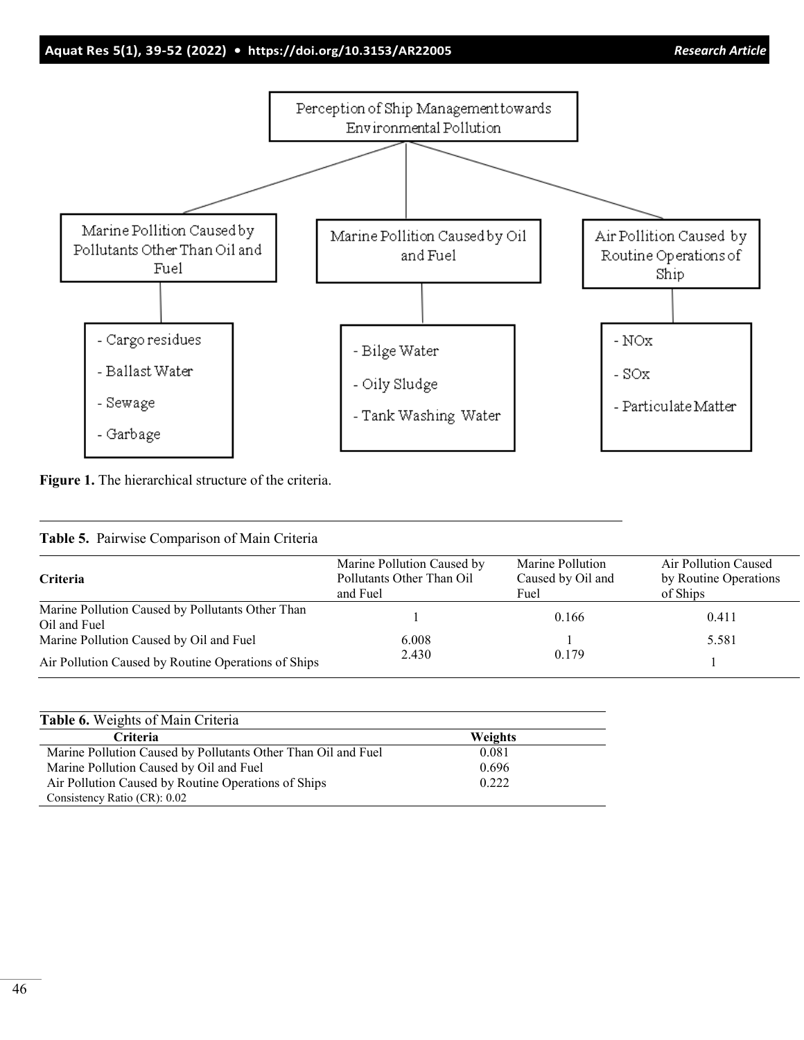

**Figure 1.** The hierarchical structure of the criteria.

| Criteria                                                         | Marine Pollution Caused by<br>Pollutants Other Than Oil<br>and Fuel | Marine Pollution<br>Caused by Oil and<br>Fuel | Air Pollution Caused<br>by Routine Operations<br>of Ships |
|------------------------------------------------------------------|---------------------------------------------------------------------|-----------------------------------------------|-----------------------------------------------------------|
| Marine Pollution Caused by Pollutants Other Than<br>Oil and Fuel |                                                                     | 0.166                                         | 0.411                                                     |
| Marine Pollution Caused by Oil and Fuel                          | 6.008                                                               |                                               | 5.581                                                     |
| Air Pollution Caused by Routine Operations of Ships              | 2.430                                                               | 0.179                                         |                                                           |

| <b>Table 6.</b> Weights of Main Criteria                      |                |  |
|---------------------------------------------------------------|----------------|--|
| <b>Criteria</b>                                               | <b>Weights</b> |  |
| Marine Pollution Caused by Pollutants Other Than Oil and Fuel | 0.081          |  |
| Marine Pollution Caused by Oil and Fuel                       | 0.696          |  |
| Air Pollution Caused by Routine Operations of Ships           | 0.222          |  |
| Consistency Ratio (CR): 0.02                                  |                |  |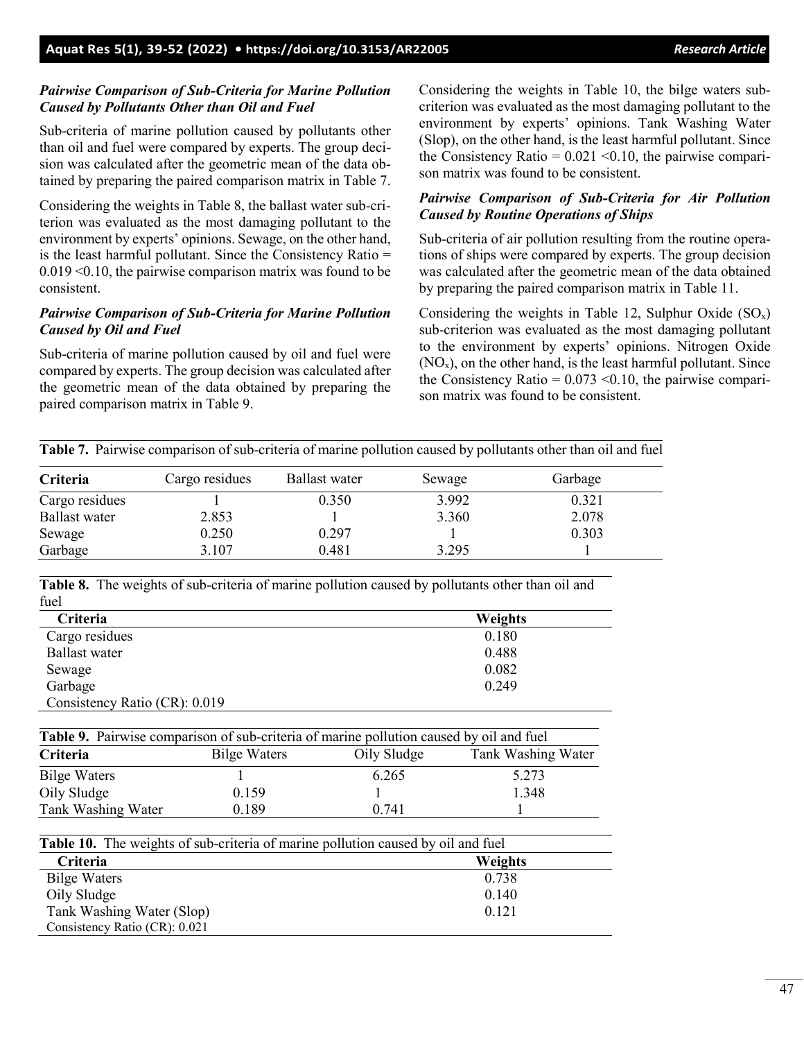47

# *Pairwise Comparison of Sub-Criteria for Marine Pollution Caused by Pollutants Other than Oil and Fuel*

Sub-criteria of marine pollution caused by pollutants other than oil and fuel were compared by experts. The group decision was calculated after the geometric mean of the data obtained by preparing the paired comparison matrix in Table 7.

Considering the weights in Table 8, the ballast water sub-criterion was evaluated as the most damaging pollutant to the environment by experts' opinions. Sewage, on the other hand, is the least harmful pollutant. Since the Consistency Ratio = 0.019 <0.10, the pairwise comparison matrix was found to be consistent.

# *Pairwise Comparison of Sub-Criteria for Marine Pollution Caused by Oil and Fuel*

Sub-criteria of marine pollution caused by oil and fuel were compared by experts. The group decision was calculated after the geometric mean of the data obtained by preparing the paired comparison matrix in Table 9.

Considering the weights in Table 10, the bilge waters subcriterion was evaluated as the most damaging pollutant to the environment by experts' opinions. Tank Washing Water (Slop), on the other hand, is the least harmful pollutant. Since the Consistency Ratio =  $0.021$  < 0.10, the pairwise comparison matrix was found to be consistent.

# *Pairwise Comparison of Sub-Criteria for Air Pollution Caused by Routine Operations of Ships*

Sub-criteria of air pollution resulting from the routine operations of ships were compared by experts. The group decision was calculated after the geometric mean of the data obtained by preparing the paired comparison matrix in Table 11.

Considering the weights in Table 12, Sulphur Oxide  $(SO_x)$ sub-criterion was evaluated as the most damaging pollutant to the environment by experts' opinions. Nitrogen Oxide  $(NO<sub>x</sub>)$ , on the other hand, is the least harmful pollutant. Since the Consistency Ratio =  $0.073$  < 0.10, the pairwise comparison matrix was found to be consistent.

|                      |                |                      |        | Table 7. Pairwise comparison of sub-criteria of marine pollution caused by pollutants other than oil and fuel |
|----------------------|----------------|----------------------|--------|---------------------------------------------------------------------------------------------------------------|
| Criteria             | Cargo residues | <b>Ballast</b> water | Sewage | Garbage                                                                                                       |
| Cargo residues       |                | 0.350                | 3.992  | 0.321                                                                                                         |
| <b>Ballast</b> water | 2.853          |                      | 3.360  | 2.078                                                                                                         |
| Sewage               | 0.250          | 0.297                |        | 0.303                                                                                                         |
| Garbage              | 3.107          | 0.481                | 3.295  |                                                                                                               |

**Table 8.** The weights of sub-criteria of marine pollution caused by pollutants other than oil and fuel

| Criteria                                                                                |                     |             | Weights            |
|-----------------------------------------------------------------------------------------|---------------------|-------------|--------------------|
| Cargo residues                                                                          |                     |             | 0.180              |
| <b>Ballast</b> water                                                                    |                     |             | 0.488              |
| Sewage                                                                                  |                     |             | 0.082              |
| Garbage                                                                                 |                     |             | 0.249              |
| Consistency Ratio (CR): 0.019                                                           |                     |             |                    |
|                                                                                         |                     |             |                    |
|                                                                                         |                     |             |                    |
| Table 9. Pairwise comparison of sub-criteria of marine pollution caused by oil and fuel |                     |             |                    |
| Criteria                                                                                | <b>Bilge Waters</b> | Oily Sludge | Tank Washing Water |
| <b>Bilge Waters</b>                                                                     |                     | 6.265       | 5.273              |
| Oily Sludge                                                                             | 0.159               |             | 1.348              |

| <b>Table 10.</b> The weights of sub-criteria of marine pollution caused by oil and fuel |                |  |  |  |
|-----------------------------------------------------------------------------------------|----------------|--|--|--|
| Criteria                                                                                | <b>Weights</b> |  |  |  |
| <b>Bilge Waters</b>                                                                     | 0.738          |  |  |  |
| Oily Sludge                                                                             | 0.140          |  |  |  |
| Tank Washing Water (Slop)                                                               | 0.121          |  |  |  |
| Consistency Ratio (CR): 0.021                                                           |                |  |  |  |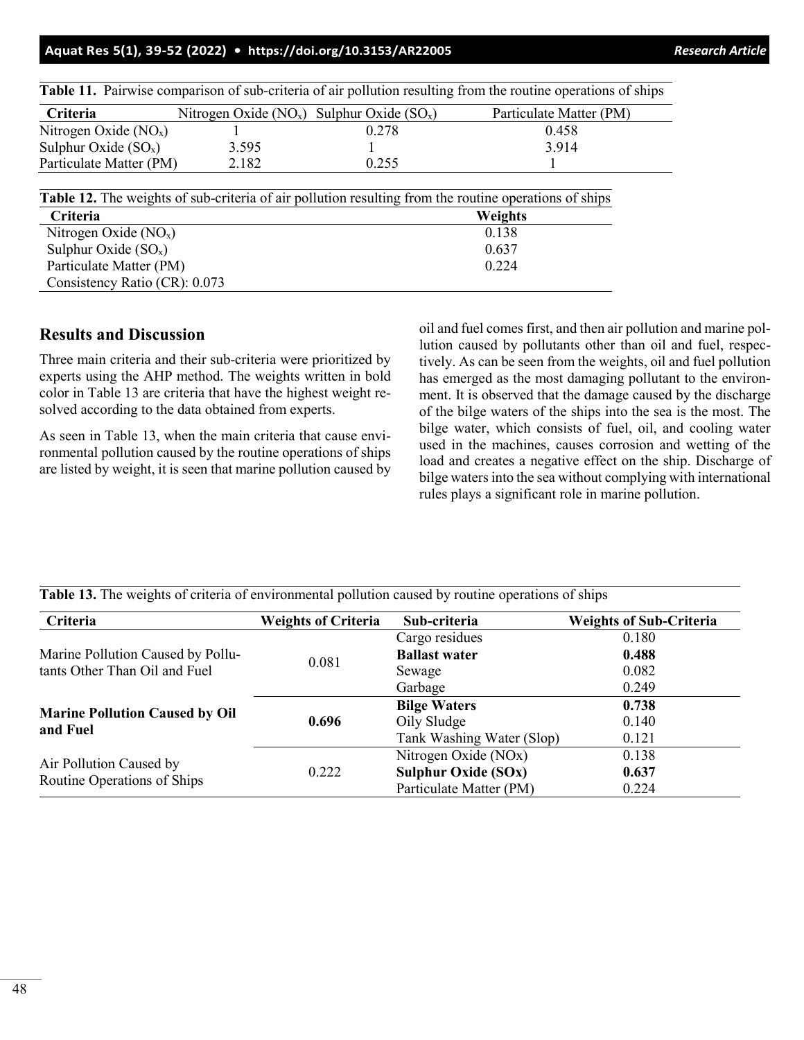| Table 11. Pairwise comparison of sub-criteria of air pollution resulting from the routine operations of ships |                                                    |       |                         |  |  |  |
|---------------------------------------------------------------------------------------------------------------|----------------------------------------------------|-------|-------------------------|--|--|--|
| Criteria                                                                                                      | Nitrogen Oxide ( $NO_x$ ) Sulphur Oxide ( $SO_x$ ) |       | Particulate Matter (PM) |  |  |  |
| Nitrogen Oxide $(NOx)$                                                                                        |                                                    | 0.278 | 0.458                   |  |  |  |
| Sulphur Oxide $(SO_x)$                                                                                        | 3.595                                              |       | 3.914                   |  |  |  |
| Particulate Matter (PM)                                                                                       | 2.182                                              | 0.255 |                         |  |  |  |
| Table 12. The weights of sub-criteria of air pollution resulting from the routine operations of ships         |                                                    |       |                         |  |  |  |
|                                                                                                               |                                                    |       |                         |  |  |  |
| Criteria                                                                                                      |                                                    |       | Weights                 |  |  |  |
| Nitrogen Oxide $(NOx)$                                                                                        |                                                    |       | 0.138                   |  |  |  |
| Sulphur Oxide $(SO_x)$                                                                                        |                                                    | 0.637 |                         |  |  |  |
| Particulate Matter (PM)<br>0.224                                                                              |                                                    |       |                         |  |  |  |

# **Results and Discussion**

Consistency Ratio (CR): 0.073

Three main criteria and their sub-criteria were prioritized by experts using the AHP method. The weights written in bold color in Table 13 are criteria that have the highest weight resolved according to the data obtained from experts.

As seen in Table 13, when the main criteria that cause environmental pollution caused by the routine operations of ships are listed by weight, it is seen that marine pollution caused by oil and fuel comes first, and then air pollution and marine pollution caused by pollutants other than oil and fuel, respectively. As can be seen from the weights, oil and fuel pollution has emerged as the most damaging pollutant to the environment. It is observed that the damage caused by the discharge of the bilge waters of the ships into the sea is the most. The bilge water, which consists of fuel, oil, and cooling water used in the machines, causes corrosion and wetting of the load and creates a negative effect on the ship. Discharge of bilge waters into the sea without complying with international rules plays a significant role in marine pollution.

| Criteria                                                           | <b>Weights of Criteria</b> | Sub-criteria               | <b>Weights of Sub-Criteria</b> |
|--------------------------------------------------------------------|----------------------------|----------------------------|--------------------------------|
| Marine Pollution Caused by Pollu-<br>tants Other Than Oil and Fuel | 0.081                      | Cargo residues             | 0.180                          |
|                                                                    |                            | <b>Ballast water</b>       | 0.488                          |
|                                                                    |                            | Sewage                     | 0.082                          |
|                                                                    |                            | Garbage                    | 0.249                          |
| <b>Marine Pollution Caused by Oil</b><br>and Fuel                  | 0.696                      | <b>Bilge Waters</b>        | 0.738                          |
|                                                                    |                            | Oily Sludge                | 0.140                          |
|                                                                    |                            | Tank Washing Water (Slop)  | 0.121                          |
| Air Pollution Caused by<br>Routine Operations of Ships             | 0.222                      | Nitrogen Oxide (NOx)       | 0.138                          |
|                                                                    |                            | <b>Sulphur Oxide (SOx)</b> | 0.637                          |
|                                                                    |                            | Particulate Matter (PM)    | 0.224                          |

**Table 13.** The weights of criteria of environmental pollution caused by routine operations of ships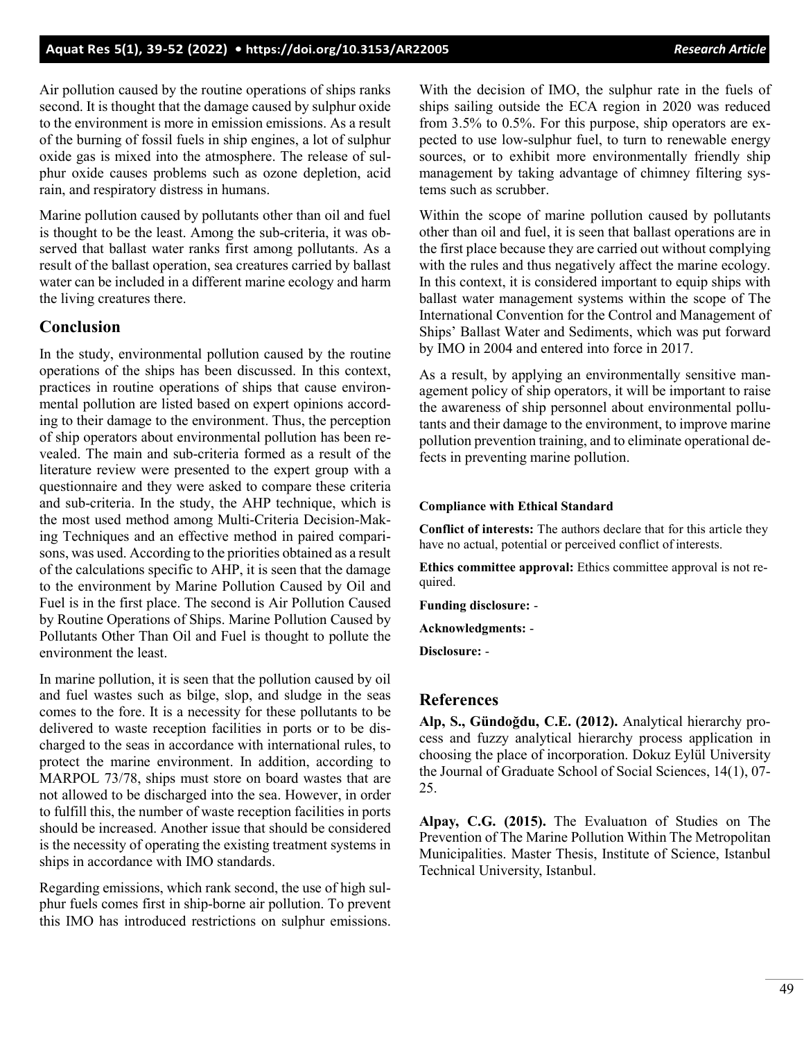Air pollution caused by the routine operations of ships ranks second. It is thought that the damage caused by sulphur oxide to the environment is more in emission emissions. As a result of the burning of fossil fuels in ship engines, a lot of sulphur oxide gas is mixed into the atmosphere. The release of sulphur oxide causes problems such as ozone depletion, acid rain, and respiratory distress in humans.

Marine pollution caused by pollutants other than oil and fuel is thought to be the least. Among the sub-criteria, it was observed that ballast water ranks first among pollutants. As a result of the ballast operation, sea creatures carried by ballast water can be included in a different marine ecology and harm the living creatures there.

# **Conclusion**

In the study, environmental pollution caused by the routine operations of the ships has been discussed. In this context, practices in routine operations of ships that cause environmental pollution are listed based on expert opinions according to their damage to the environment. Thus, the perception of ship operators about environmental pollution has been revealed. The main and sub-criteria formed as a result of the literature review were presented to the expert group with a questionnaire and they were asked to compare these criteria and sub-criteria. In the study, the AHP technique, which is the most used method among Multi-Criteria Decision-Making Techniques and an effective method in paired comparisons, was used. According to the priorities obtained as a result of the calculations specific to AHP, it is seen that the damage to the environment by Marine Pollution Caused by Oil and Fuel is in the first place. The second is Air Pollution Caused by Routine Operations of Ships. Marine Pollution Caused by Pollutants Other Than Oil and Fuel is thought to pollute the environment the least.

In marine pollution, it is seen that the pollution caused by oil and fuel wastes such as bilge, slop, and sludge in the seas comes to the fore. It is a necessity for these pollutants to be delivered to waste reception facilities in ports or to be discharged to the seas in accordance with international rules, to protect the marine environment. In addition, according to MARPOL 73/78, ships must store on board wastes that are not allowed to be discharged into the sea. However, in order to fulfill this, the number of waste reception facilities in ports should be increased. Another issue that should be considered is the necessity of operating the existing treatment systems in ships in accordance with IMO standards.

Regarding emissions, which rank second, the use of high sulphur fuels comes first in ship-borne air pollution. To prevent this IMO has introduced restrictions on sulphur emissions.

With the decision of IMO, the sulphur rate in the fuels of ships sailing outside the ECA region in 2020 was reduced from 3.5% to 0.5%. For this purpose, ship operators are expected to use low-sulphur fuel, to turn to renewable energy sources, or to exhibit more environmentally friendly ship management by taking advantage of chimney filtering systems such as scrubber.

Within the scope of marine pollution caused by pollutants other than oil and fuel, it is seen that ballast operations are in the first place because they are carried out without complying with the rules and thus negatively affect the marine ecology. In this context, it is considered important to equip ships with ballast water management systems within the scope of The International Convention for the Control and Management of Ships' Ballast Water and Sediments, which was put forward by IMO in 2004 and entered into force in 2017.

As a result, by applying an environmentally sensitive management policy of ship operators, it will be important to raise the awareness of ship personnel about environmental pollutants and their damage to the environment, to improve marine pollution prevention training, and to eliminate operational defects in preventing marine pollution.

#### **Compliance with Ethical Standard**

**Conflict of interests:** The authors declare that for this article they have no actual, potential or perceived conflict of interests.

**Ethics committee approval:** Ethics committee approval is not required.

**Funding disclosure:** -

**Acknowledgments:** -

**Disclosure:** -

# **References**

**Alp, S., Gündoğdu, C.E. (2012).** Analytical hierarchy process and fuzzy analytical hierarchy process application in choosing the place of incorporation. Dokuz Eylül University the Journal of Graduate School of Social Sciences, 14(1), 07- 25.

**Alpay, C.G. (2015).** The Evaluatıon of Studies on The Prevention of The Marine Pollution Within The Metropolitan Municipalities. Master Thesis, Institute of Science, Istanbul Technical University, Istanbul.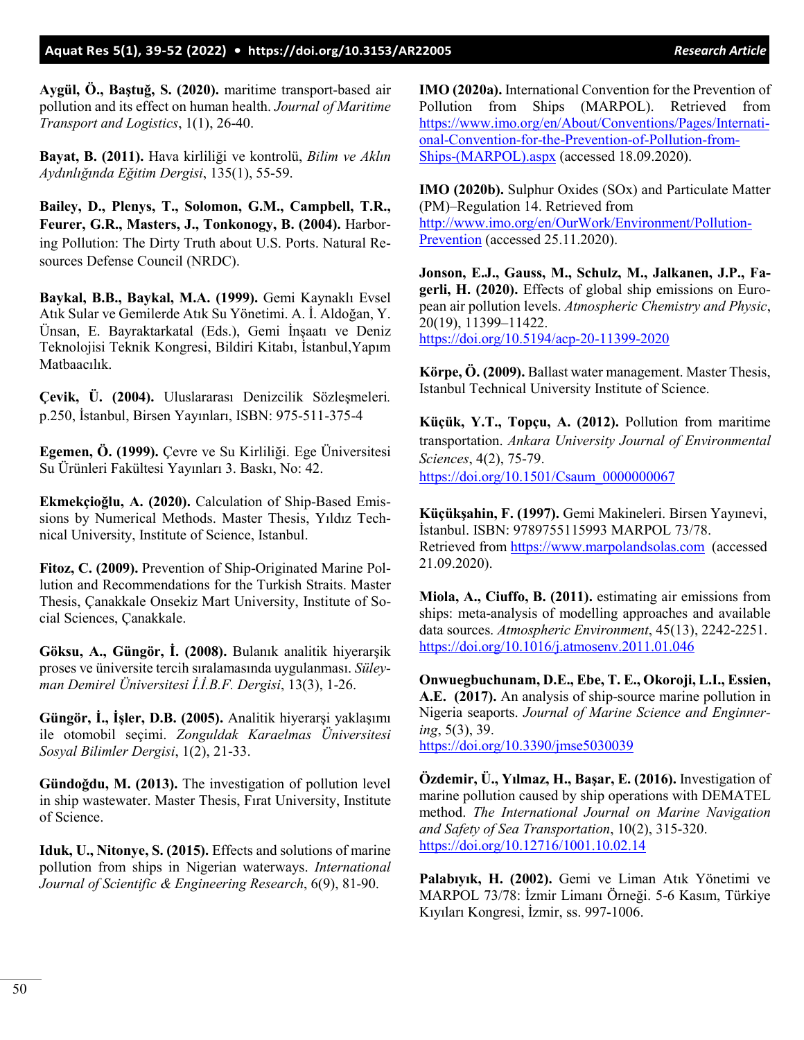**Aygül, Ö., Baştuğ, S. (2020).** maritime transport-based air pollution and its effect on human health. *Journal of Maritime Transport and Logistics*, 1(1), 26-40.

**Bayat, B. (2011).** Hava kirliliği ve kontrolü, *Bilim ve Aklın Aydınlığında Eğitim Dergisi*, 135(1), 55-59.

**Bailey, D., Plenys, T., Solomon, G.M., Campbell, T.R., Feurer, G.R., Masters, J., Tonkonogy, B. (2004).** Harboring Pollution: The Dirty Truth about U.S. Ports. Natural Resources Defense Council (NRDC).

**Baykal, B.B., Baykal, M.A. (1999).** Gemi Kaynaklı Evsel Atık Sular ve Gemilerde Atık Su Yönetimi. A. İ. Aldoğan, Y. Ünsan, E. Bayraktarkatal (Eds.), Gemi İnşaatı ve Deniz Teknolojisi Teknik Kongresi, Bildiri Kitabı, İstanbul,Yapım Matbaacılık.

**Çevik, Ü. (2004).** Uluslararası Denizcilik Sözleşmeleri*.* p.250, İstanbul, Birsen Yayınları, ISBN: 975-511-375-4

**Egemen, Ö. (1999).** Çevre ve Su Kirliliği. Ege Üniversitesi Su Ürünleri Fakültesi Yayınları 3. Baskı, No: 42.

**Ekmekçioğlu, A. (2020).** Calculation of Ship-Based Emissions by Numerical Methods. Master Thesis, Yıldız Technical University, Institute of Science, Istanbul.

**Fitoz, C. (2009).** Prevention of Ship-Originated Marine Pollution and Recommendations for the Turkish Straits. Master Thesis, Çanakkale Onsekiz Mart University, Institute of Social Sciences, Çanakkale.

**Göksu, A., Güngör, İ. (2008).** Bulanık analitik hiyerarşik proses ve üniversite tercih sıralamasında uygulanması. *Süleyman Demirel Üniversitesi İ.İ.B.F. Dergisi*, 13(3), 1-26.

**Güngör, İ., İşler, D.B. (2005).** Analitik hiyerarşi yaklaşımı ile otomobil seçimi. *Zonguldak Karaelmas Üniversitesi Sosyal Bilimler Dergisi*, 1(2), 21-33.

**Gündoğdu, M. (2013).** The investigation of pollution level in ship wastewater. Master Thesis, Fırat University, Institute of Science.

**Iduk, U., Nitonye, S. (2015).** Effects and solutions of marine pollution from ships in Nigerian waterways. *International Journal of Scientific & Engineering Research*, 6(9), 81-90.

**IMO (2020a).** International Convention for the Prevention of Pollution from Ships (MARPOL). Retrieved from [https://www.imo.org/en/About/Conventions/Pages/Internati](https://www.imo.org/en/About/Conventions/Pages/International-Convention-for-the-Prevention-of-Pollution-from-Ships-(MARPOL).aspx)[onal-Convention-for-the-Prevention-of-Pollution-from-](https://www.imo.org/en/About/Conventions/Pages/International-Convention-for-the-Prevention-of-Pollution-from-Ships-(MARPOL).aspx)[Ships-\(MARPOL\).aspx](https://www.imo.org/en/About/Conventions/Pages/International-Convention-for-the-Prevention-of-Pollution-from-Ships-(MARPOL).aspx) (accessed 18.09.2020).

**IMO (2020b).** Sulphur Oxides (SOx) and Particulate Matter (PM)–Regulation 14. Retrieved from [http://www.imo.org/en/OurWork/Environment/Pollution-](http://www.imo.org/en/OurWork/Environment/PollutionPrevention)[Prevention](http://www.imo.org/en/OurWork/Environment/PollutionPrevention) (accessed 25.11.2020).

**Jonson, E.J., Gauss, M., Schulz, M., Jalkanen, J.P., Fagerli, H. (2020).** Effects of global ship emissions on European air pollution levels. *Atmospheric Chemistry and Physic*, 20(19), 11399–11422. <https://doi.org/10.5194/acp-20-11399-2020>

**Körpe, Ö. (2009).** Ballast water management. Master Thesis, Istanbul Technical University Institute of Science.

**Küçük, Y.T., Topçu, A. (2012).** Pollution from maritime transportation. *Ankara University Journal of Environmental Sciences*, 4(2), 75-79. [https://doi.org/10.1501/Csaum\\_0000000067](https://doi.org/10.1501/Csaum_0000000067)

**Küçükşahin, F. (1997).** Gemi Makineleri. Birsen Yayınevi, İstanbul. ISBN: 9789755115993 MARPOL 73/78. Retrieved from [https://www.marpolandsolas.com](https://www.marpolandsolas.com/) (accessed 21.09.2020).

**Miola, A., Ciuffo, B. (2011).** estimating air emissions from ships: meta-analysis of modelling approaches and available data sources. *Atmospheric Environment*, 45(13), 2242-2251. <https://doi.org/10.1016/j.atmosenv.2011.01.046>

**Onwuegbuchunam, D.E., Ebe, T. E., Okoroji, L.I., Essien, A.E. (2017).** An analysis of ship-source marine pollution in Nigeria seaports. *Journal of Marine Science and Enginnering*, 5(3), 39. <https://doi.org/10.3390/jmse5030039>

**Özdemir, Ü., Yılmaz, H., Başar, E. (2016).** Investigation of marine pollution caused by ship operations with DEMATEL method. *The International Journal on Marine Navigation and Safety of Sea Transportation*, 10(2), 315-320. <https://doi.org/10.12716/1001.10.02.14>

**Palabıyık, H. (2002).** Gemi ve Liman Atık Yönetimi ve MARPOL 73/78: İzmir Limanı Örneği. 5-6 Kasım, Türkiye Kıyıları Kongresi, İzmir, ss. 997-1006.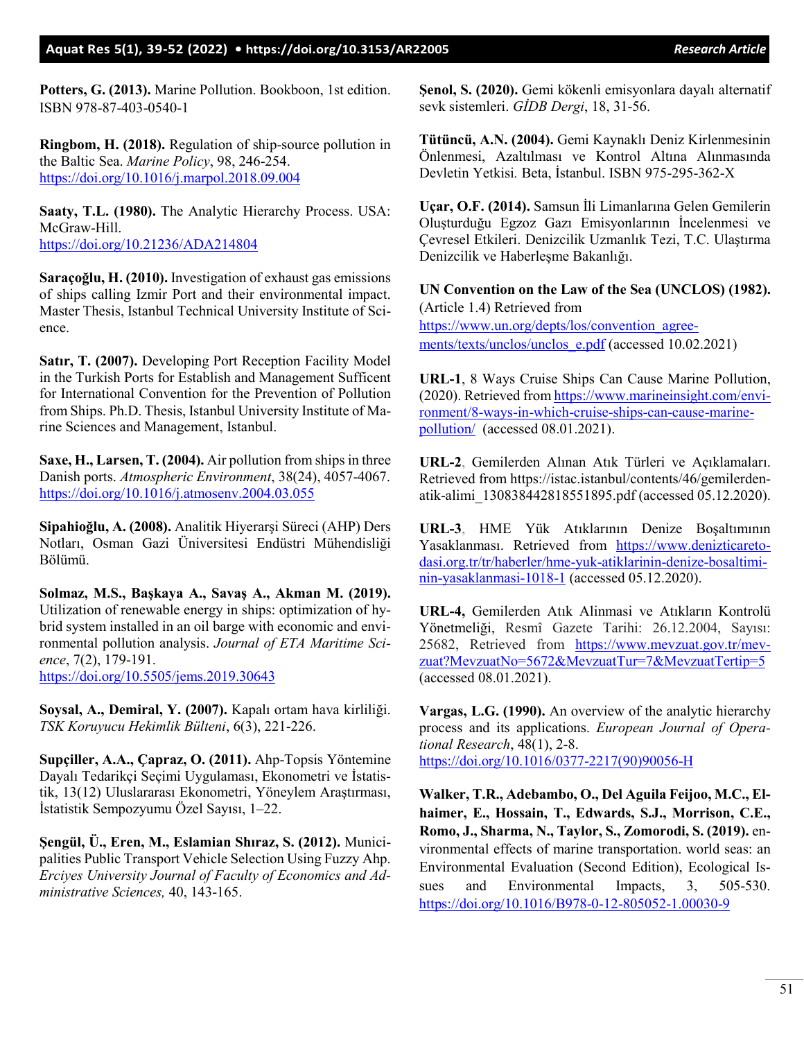**Potters, G. (2013).** Marine Pollution. Bookboon, 1st edition. ISBN 978-87-403-0540-1

**Ringbom, H. (2018).** Regulation of ship-source pollution in the Baltic Sea. *Marine Policy*, 98, 246-254. <https://doi.org/10.1016/j.marpol.2018.09.004>

**Saaty, T.L. (1980).** The Analytic Hierarchy Process. USA: McGraw-Hill. <https://doi.org/10.21236/ADA214804>

**Saraçoğlu, H. (2010).** Investigation of exhaust gas emissions of ships calling Izmir Port and their environmental impact. Master Thesis, Istanbul Technical University Institute of Science.

**Satır, T. (2007).** Developing Port Reception Facility Model in the Turkish Ports for Establish and Management Sufficent for International Convention for the Prevention of Pollution from Ships. Ph.D. Thesis, Istanbul University Institute of Marine Sciences and Management, Istanbul.

**Saxe, H., Larsen, T. (2004).** Air pollution from ships in three Danish ports. *Atmospheric Environment*, 38(24), 4057-4067. <https://doi.org/10.1016/j.atmosenv.2004.03.055>

**Sipahioğlu, A. (2008).** Analitik Hiyerarşi Süreci (AHP) Ders Notları, Osman Gazi Üniversitesi Endüstri Mühendisliği Bölümü.

**Solmaz, M.S., Başkaya A., Savaş A., Akman M. (2019).** Utilization of renewable energy in ships: optimization of hybrid system installed in an oil barge with economic and environmental pollution analysis. *Journal of ETA Maritime Science*, 7(2), 179-191. <https://doi.org/10.5505/jems.2019.30643>

**Soysal, A., Demiral, Y. (2007).** Kapalı ortam hava kirliliği. *TSK Koruyucu Hekimlik Bülteni*, 6(3), 221-226.

**Supçiller, A.A., Çapraz, O. (2011).** Ahp-Topsis Yöntemine Dayalı Tedarikçi Seçimi Uygulaması, Ekonometri ve İstatistik, 13(12) Uluslararası Ekonometri, Yöneylem Araştırması, İstatistik Sempozyumu Özel Sayısı, 1–22.

**Şengül, Ü., Eren, M., Eslamian Shıraz, S. (2012).** Municipalities Public Transport Vehicle Selection Using Fuzzy Ahp. *Erciyes University Journal of Faculty of Economics and Administrative Sciences,* 40, 143-165.

**Şenol, S. (2020).** Gemi kökenli emisyonlara dayalı alternatif sevk sistemleri. *GİDB Dergi*, 18, 31-56.

**Tütüncü, A.N. (2004).** Gemi Kaynaklı Deniz Kirlenmesinin Önlenmesi, Azaltılması ve Kontrol Altına Alınmasında Devletin Yetkisi*.* Beta, İstanbul. ISBN 975-295-362-X

**Uçar, O.F. (2014).** Samsun İli Limanlarına Gelen Gemilerin Oluşturduğu Egzoz Gazı Emisyonlarının İncelenmesi ve Çevresel Etkileri. Denizcilik Uzmanlık Tezi, T.C. Ulaştırma Denizcilik ve Haberleşme Bakanlığı.

**UN Convention on the Law of the Sea (UNCLOS) (1982).** (Article 1.4) Retrieved from [https://www.un.org/depts/los/convention\\_agree](https://www.un.org/depts/los/convention_agreements/texts/unclos/unclos_e.pdf)ments/texts/unclos/unclos e.pdf (accessed 10.02.2021)

**URL-1**, 8 Ways Cruise Ships Can Cause Marine Pollution, (2020). Retrieved fro[m https://www.marineinsight.com/envi](https://www.marineinsight.com/environment/8-ways-in-which-cruise-ships-can-cause-marine-pollution/)[ronment/8-ways-in-which-cruise-ships-can-cause-marine](https://www.marineinsight.com/environment/8-ways-in-which-cruise-ships-can-cause-marine-pollution/)[pollution/](https://www.marineinsight.com/environment/8-ways-in-which-cruise-ships-can-cause-marine-pollution/) (accessed 08.01.2021).

**URL-2**, Gemilerden Alınan Atık Türleri ve Açıklamaları. Retrieved from https://istac.istanbul/contents/46/gemilerdenatik-alimi\_130838442818551895.pdf (accessed 05.12.2020).

**URL-3**, HME Yük Atıklarının Denize Boşaltımının Yasaklanması. Retrieved from [https://www.denizticareto](https://www.denizticaretodasi.org.tr/tr/haberler/hme-yuk-atiklarinin-denize-bosaltiminin-yasaklanmasi-1018-1)[dasi.org.tr/tr/haberler/hme-yuk-atiklarinin-denize-bosaltimi](https://www.denizticaretodasi.org.tr/tr/haberler/hme-yuk-atiklarinin-denize-bosaltiminin-yasaklanmasi-1018-1)[nin-yasaklanmasi-1018-1](https://www.denizticaretodasi.org.tr/tr/haberler/hme-yuk-atiklarinin-denize-bosaltiminin-yasaklanmasi-1018-1) (accessed 05.12.2020).

**URL-4,** Gemilerden Atık Alinmasi ve Atıkların Kontrolü Yönetmeliği, Resmî Gazete Tarihi: 26.12.2004, Sayısı: 25682, Retrieved from [https://www.mevzuat.gov.tr/mev](https://www.mevzuat.gov.tr/mevzuat?MevzuatNo=5672&MevzuatTur=7&MevzuatTertip=5)[zuat?MevzuatNo=5672&MevzuatTur=7&MevzuatTertip=5](https://www.mevzuat.gov.tr/mevzuat?MevzuatNo=5672&MevzuatTur=7&MevzuatTertip=5) (accessed 08.01.2021).

**Vargas, L.G. (1990).** An overview of the analytic hierarchy process and its applications. *European Journal of Operational Research*, 48(1), 2-8. [https://doi.org/10.1016/0377-2217\(90\)90056-H](https://doi.org/10.1016/0377-2217(90)90056-H)

**Walker, T.R., Adebambo, O., Del Aguila Feijoo, M.C., Elhaimer, E., Hossain, T., Edwards, S.J., Morrison, C.E., Romo, J., Sharma, N., Taylor, S., Zomorodi, S. (2019).** environmental effects of marine transportation. world seas: an Environmental Evaluation (Second Edition), Ecological Issues and Environmental Impacts, 3, 505-530. <https://doi.org/10.1016/B978-0-12-805052-1.00030-9>